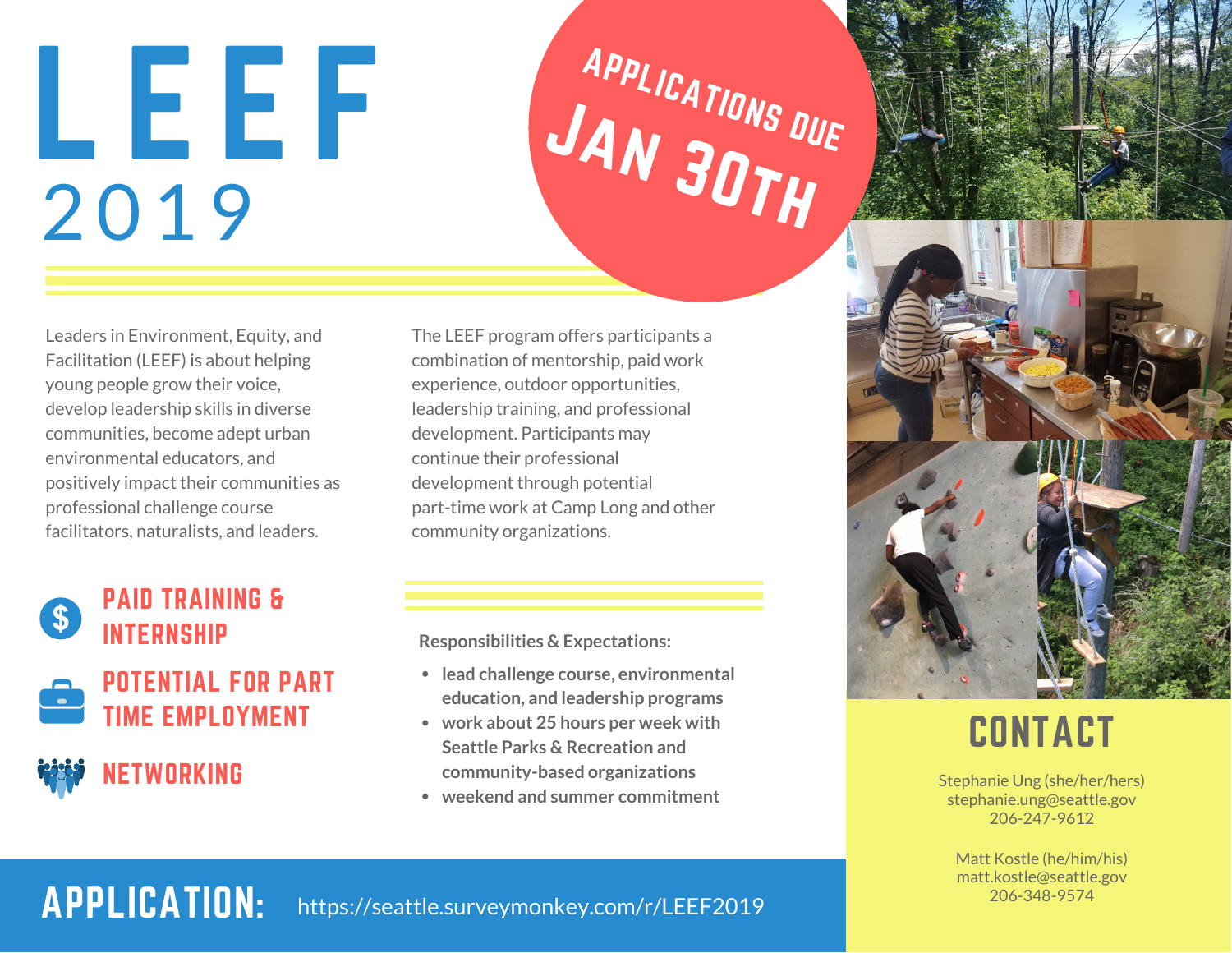# L E E F 2019



Leaders in Environment, Equity, and Facilitation (LEEF) is about helping young people grow their voice, develop leadership skills in diverse communities, become adept urban environmental educators, and positively impact their communities as professional challenge course facilitators, naturalists, and leaders.



### PAID TRAINING & INTERNSHIP



POTENTIAL FOR PART TIME FMPI OYMENT

### NETWORKING

The LEEF program offers participants a combination of mentorship, paid work experience, outdoor opportunities, leadership training, and professional development. Participants may continue their professional development through potential part-time work at Camp Long and other community organizations.

**Responsibilities & Expectations:**

- **lead challenge course, environmental education, and leadership programs**
- **work about 25 hours per week with Seattle Parks & Recreation and community-based organizations**
- **weekend and summer commitment**



## **CONTACT**

Stephanie Ung (she/her/hers) stephanie.ung@seattle.gov 206-247-9612

Matt Kostle (he/him/his) matt.kostle@seattle.gov 206-348-9574

APPLICATION: https://seattle.surveymonkey.com/r/LEEF2019